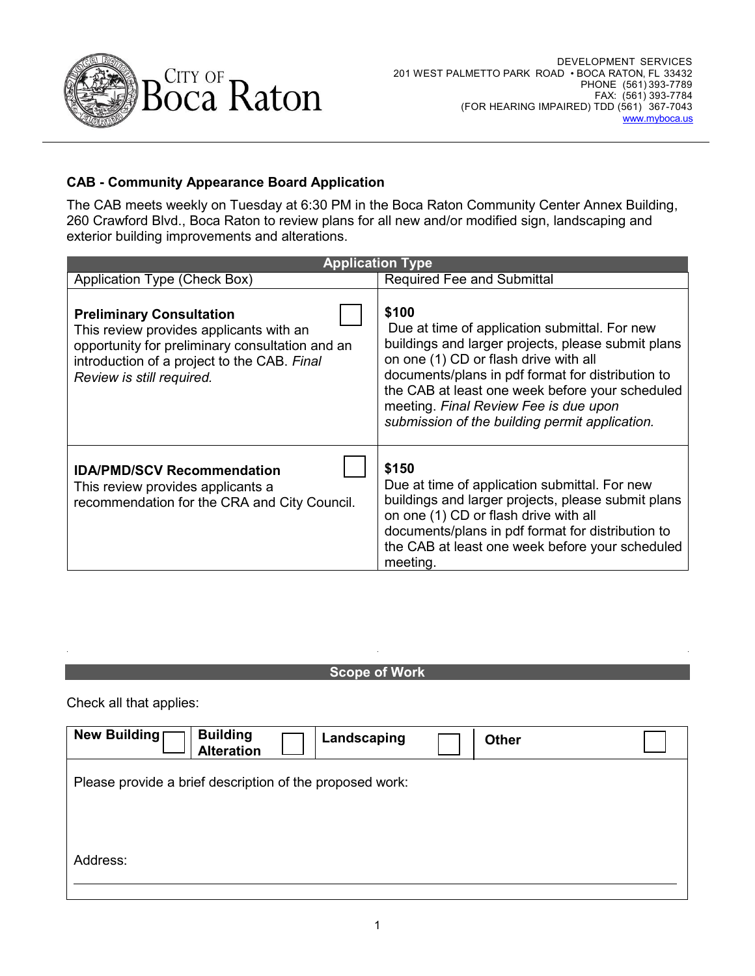

## **CAB - Community Appearance Board Application**

The CAB meets weekly on Tuesday at 6:30 PM in the Boca Raton Community Center Annex Building, 260 Crawford Blvd., Boca Raton to review plans for all new and/or modified sign, landscaping and exterior building improvements and alterations.

| <b>Application Type</b>                                                                                                                                                                                   |                                                                                                                                                                                                                                                                                                                                                          |  |  |
|-----------------------------------------------------------------------------------------------------------------------------------------------------------------------------------------------------------|----------------------------------------------------------------------------------------------------------------------------------------------------------------------------------------------------------------------------------------------------------------------------------------------------------------------------------------------------------|--|--|
| Application Type (Check Box)                                                                                                                                                                              | <b>Required Fee and Submittal</b>                                                                                                                                                                                                                                                                                                                        |  |  |
| <b>Preliminary Consultation</b><br>This review provides applicants with an<br>opportunity for preliminary consultation and an<br>introduction of a project to the CAB. Final<br>Review is still required. | \$100<br>Due at time of application submittal. For new<br>buildings and larger projects, please submit plans<br>on one (1) CD or flash drive with all<br>documents/plans in pdf format for distribution to<br>the CAB at least one week before your scheduled<br>meeting. Final Review Fee is due upon<br>submission of the building permit application. |  |  |
| <b>IDA/PMD/SCV Recommendation</b><br>This review provides applicants a<br>recommendation for the CRA and City Council.                                                                                    | \$150<br>Due at time of application submittal. For new<br>buildings and larger projects, please submit plans<br>on one (1) CD or flash drive with all<br>documents/plans in pdf format for distribution to<br>the CAB at least one week before your scheduled<br>meeting.                                                                                |  |  |

## **Scope of Work**

Check all that applies:

| New Building                                             | <b>Building</b><br><b>Alteration</b> | Landscaping | <b>Other</b> |  |
|----------------------------------------------------------|--------------------------------------|-------------|--------------|--|
| Please provide a brief description of the proposed work: |                                      |             |              |  |
|                                                          |                                      |             |              |  |
| Address:                                                 |                                      |             |              |  |
|                                                          |                                      |             |              |  |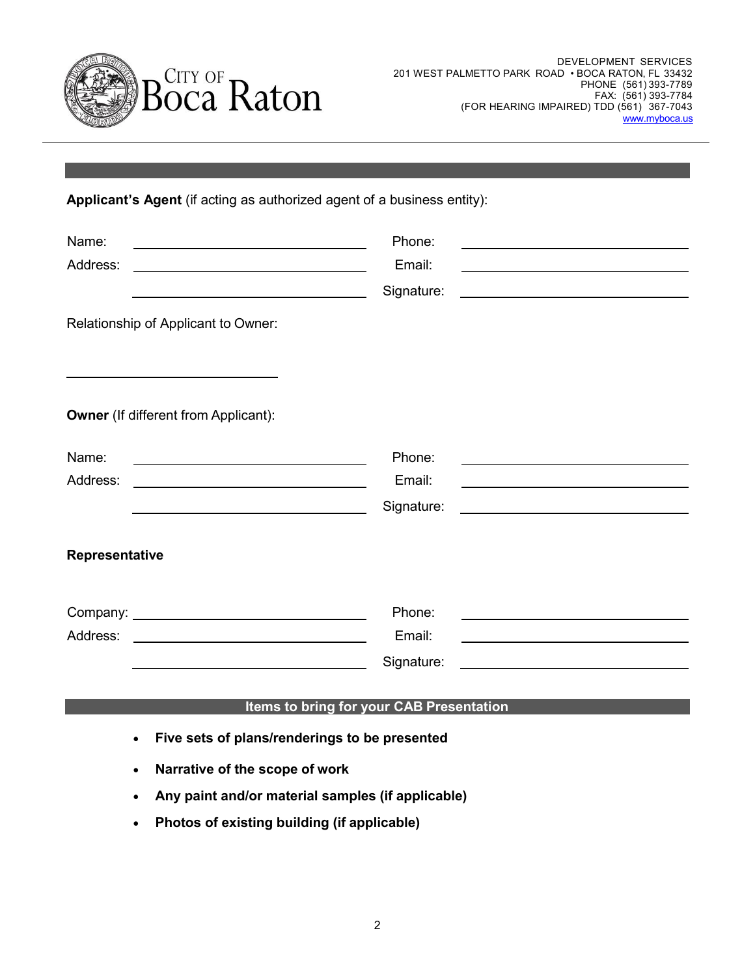

**Applicant's Agent** (if acting as authorized agent of a business entity):

| Name:<br>Address:<br>Relationship of Applicant to Owner:                                               | Phone:<br>Email:<br>Signature: |  |  |
|--------------------------------------------------------------------------------------------------------|--------------------------------|--|--|
| <b>Owner</b> (If different from Applicant):                                                            |                                |  |  |
| Name:<br>Address:                                                                                      | Phone:<br>Email:<br>Signature: |  |  |
| Representative                                                                                         |                                |  |  |
| Address:                                                                                               | Phone:<br>Email:<br>Signature: |  |  |
| Items to bring for your CAB Presentation<br>Five sets of plans/renderings to be presented<br>$\bullet$ |                                |  |  |
|                                                                                                        | Narrative of the scope of work |  |  |

- **Any paint and/or material samples (if applicable)**
- **Photos of existing building (if applicable)**